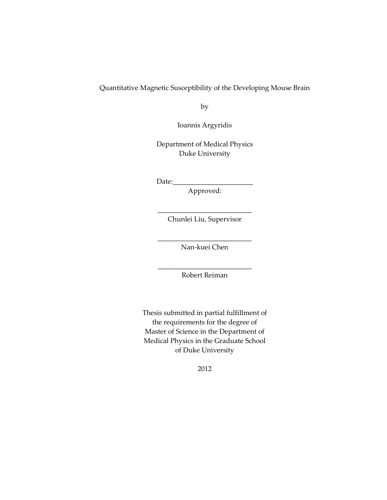#### Quantitative Magnetic Susceptibility of the Developing Mouse Brain

by

Ioannis Argyridis

Department of Medical Physics Duke University

 $Date:$ 

Approved:

\_\_\_\_\_\_\_\_\_\_\_\_\_\_\_\_\_\_\_\_\_\_\_\_\_\_\_ Chunlei Liu, Supervisor

\_\_\_\_\_\_\_\_\_\_\_\_\_\_\_\_\_\_\_\_\_\_\_\_\_\_\_ Nan-kuei Chen

\_\_\_\_\_\_\_\_\_\_\_\_\_\_\_\_\_\_\_\_\_\_\_\_\_\_\_ Robert Reiman

Thesis submitted in partial fulfillment of the requirements for the degree of Master of Science in the Department of Medical Physics in the Graduate School of Duke University

2012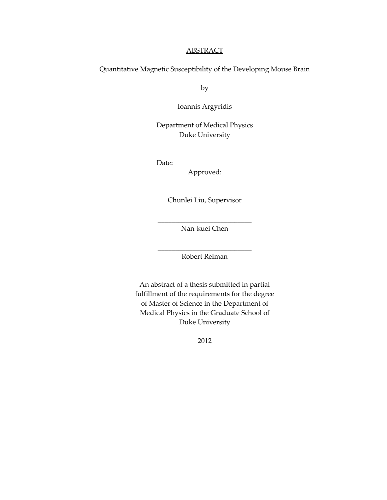#### **ABSTRACT**

Quantitative Magnetic Susceptibility of the Developing Mouse Brain

by

Ioannis Argyridis

Department of Medical Physics Duke University

 $Date:$ 

Approved:

\_\_\_\_\_\_\_\_\_\_\_\_\_\_\_\_\_\_\_\_\_\_\_\_\_\_\_ Chunlei Liu, Supervisor

\_\_\_\_\_\_\_\_\_\_\_\_\_\_\_\_\_\_\_\_\_\_\_\_\_\_\_ Nan-kuei Chen

\_\_\_\_\_\_\_\_\_\_\_\_\_\_\_\_\_\_\_\_\_\_\_\_\_\_\_ Robert Reiman

An abstract of a thesis submitted in partial fulfillment of the requirements for the degree of Master of Science in the Department of Medical Physics in the Graduate School of Duke University

2012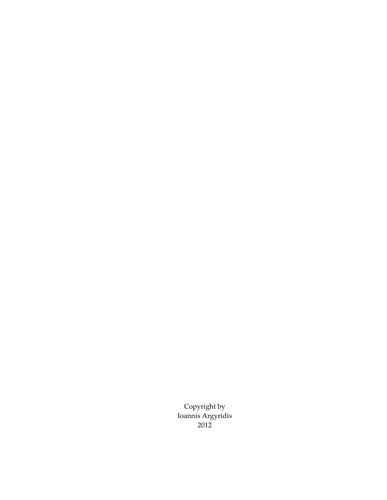Copyright by Ioannis Argyridis 2012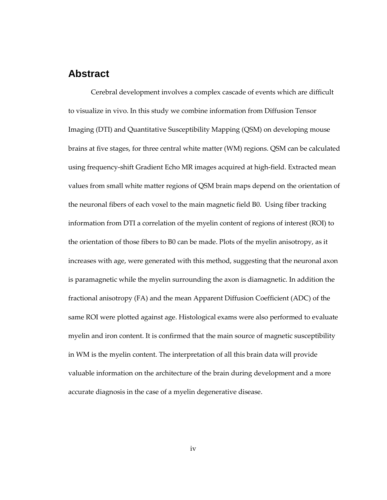### <span id="page-3-0"></span>**Abstract**

Cerebral development involves a complex cascade of events which are difficult to visualize in vivo. In this study we combine information from Diffusion Tensor Imaging (DTI) and Quantitative Susceptibility Mapping (QSM) on developing mouse brains at five stages, for three central white matter (WM) regions. QSM can be calculated using frequency-shift Gradient Echo MR images acquired at high-field. Extracted mean values from small white matter regions of QSM brain maps depend on the orientation of the neuronal fibers of each voxel to the main magnetic field B0. Using fiber tracking information from DTI a correlation of the myelin content of regions of interest (ROI) to the orientation of those fibers to B0 can be made. Plots of the myelin anisotropy, as it increases with age, were generated with this method, suggesting that the neuronal axon is paramagnetic while the myelin surrounding the axon is diamagnetic. In addition the fractional anisotropy (FA) and the mean Apparent Diffusion Coefficient (ADC) of the same ROI were plotted against age. Histological exams were also performed to evaluate myelin and iron content. It is confirmed that the main source of magnetic susceptibility in WM is the myelin content. The interpretation of all this brain data will provide valuable information on the architecture of the brain during development and a more accurate diagnosis in the case of a myelin degenerative disease.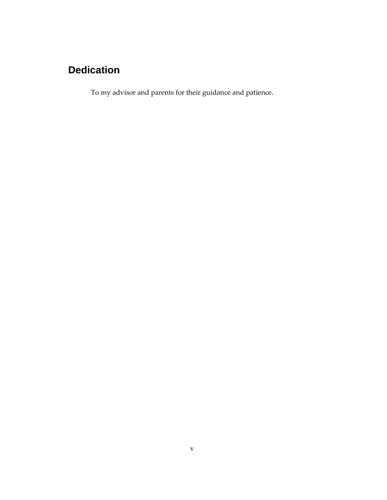## **Dedication**

To my advisor and parents for their guidance and patience.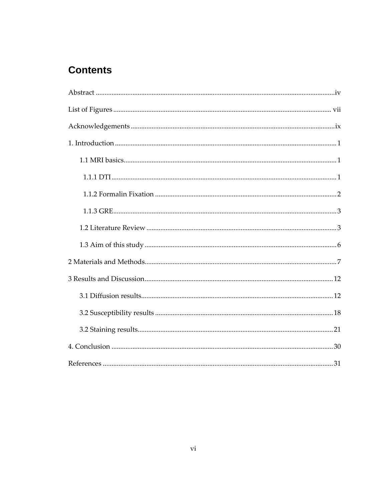## **Contents**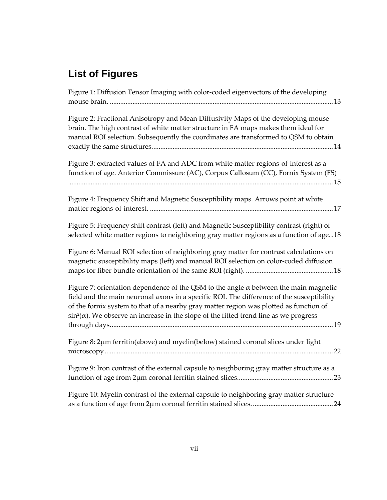# <span id="page-6-0"></span>**List of Figures**

| Figure 1: Diffusion Tensor Imaging with color-coded eigenvectors of the developing                                                                                                                                                                                                                                                                                                  |
|-------------------------------------------------------------------------------------------------------------------------------------------------------------------------------------------------------------------------------------------------------------------------------------------------------------------------------------------------------------------------------------|
| Figure 2: Fractional Anisotropy and Mean Diffusivity Maps of the developing mouse<br>brain. The high contrast of white matter structure in FA maps makes them ideal for<br>manual ROI selection. Subsequently the coordinates are transformed to QSM to obtain                                                                                                                      |
| Figure 3: extracted values of FA and ADC from white matter regions-of-interest as a<br>function of age. Anterior Commissure (AC), Corpus Callosum (CC), Fornix System (FS)                                                                                                                                                                                                          |
| Figure 4: Frequency Shift and Magnetic Susceptibility maps. Arrows point at white                                                                                                                                                                                                                                                                                                   |
| Figure 5: Frequency shift contrast (left) and Magnetic Susceptibility contrast (right) of<br>selected white matter regions to neighboring gray matter regions as a function of age18                                                                                                                                                                                                |
| Figure 6: Manual ROI selection of neighboring gray matter for contrast calculations on<br>magnetic susceptibility maps (left) and manual ROI selection on color-coded diffusion                                                                                                                                                                                                     |
| Figure 7: orientation dependence of the QSM to the angle $\alpha$ between the main magnetic<br>field and the main neuronal axons in a specific ROI. The difference of the susceptibility<br>of the fornix system to that of a nearby gray matter region was plotted as function of<br>$sin^2(\alpha)$ . We observe an increase in the slope of the fitted trend line as we progress |
| Figure 8: 2µm ferritin(above) and myelin(below) stained coronal slices under light                                                                                                                                                                                                                                                                                                  |
| Figure 9: Iron contrast of the external capsule to neighboring gray matter structure as a                                                                                                                                                                                                                                                                                           |
| Figure 10: Myelin contrast of the external capsule to neighboring gray matter structure                                                                                                                                                                                                                                                                                             |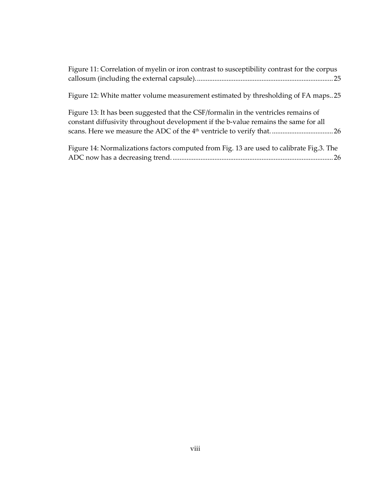| Figure 11: Correlation of myelin or iron contrast to susceptibility contrast for the corpus                                                                                |
|----------------------------------------------------------------------------------------------------------------------------------------------------------------------------|
| Figure 12: White matter volume measurement estimated by thresholding of FA maps25                                                                                          |
| Figure 13: It has been suggested that the CSF/formalin in the ventricles remains of<br>constant diffusivity throughout development if the b-value remains the same for all |
| Figure 14: Normalizations factors computed from Fig. 13 are used to calibrate Fig.3. The                                                                                   |

[ADC now has a decreasing trend.............................................................................................26](#page-34-1)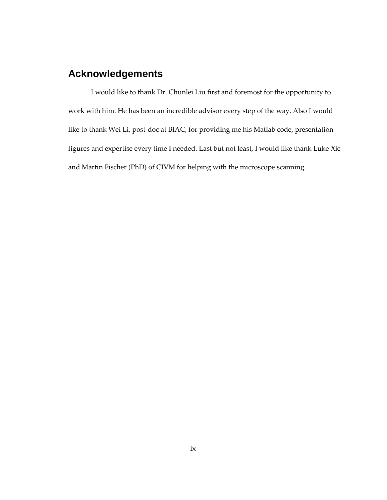## <span id="page-8-0"></span>**Acknowledgements**

I would like to thank Dr. Chunlei Liu first and foremost for the opportunity to work with him. He has been an incredible advisor every step of the way. Also I would like to thank Wei Li, post-doc at BIAC, for providing me his Matlab code, presentation figures and expertise every time I needed. Last but not least, I would like thank Luke Xie and Martin Fischer (PhD) of CIVM for helping with the microscope scanning.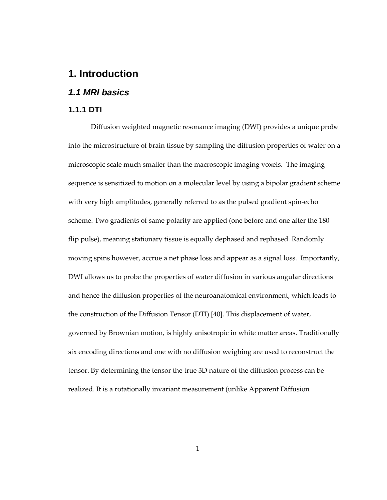## <span id="page-9-0"></span>**1. Introduction**

### <span id="page-9-1"></span>*1.1 MRI basics*

#### <span id="page-9-2"></span>**1.1.1 DTI**

Diffusion weighted magnetic resonance imaging (DWI) provides a unique probe into the microstructure of brain tissue by sampling the diffusion properties of water on a microscopic scale much smaller than the macroscopic imaging voxels. The imaging sequence is sensitized to motion on a molecular level by using a bipolar gradient scheme with very high amplitudes, generally referred to as the pulsed gradient spin-echo scheme. Two gradients of same polarity are applied (one before and one after the 180 flip pulse), meaning stationary tissue is equally dephased and rephased. Randomly moving spins however, accrue a net phase loss and appear as a signal loss. Importantly, DWI allows us to probe the properties of water diffusion in various angular directions and hence the diffusion properties of the neuroanatomical environment, which leads to the construction of the Diffusion Tensor (DTI) [40]. This displacement of water, governed by Brownian motion, is highly anisotropic in white matter areas. Traditionally six encoding directions and one with no diffusion weighing are used to reconstruct the tensor. By determining the tensor the true 3D nature of the diffusion process can be realized. It is a rotationally invariant measurement (unlike Apparent Diffusion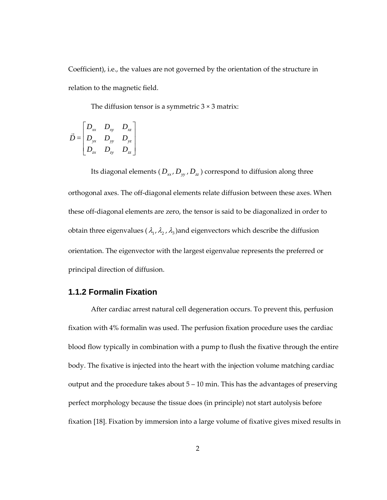Coefficient), i.e., the values are not governed by the orientation of the structure in relation to the magnetic field.

The diffusion tensor is a symmetric  $3 \times 3$  matrix:

$$
\vec{D} = \begin{bmatrix} D_{xx} & D_{xy} & D_{xz} \\ D_{yx} & D_{yy} & D_{yz} \\ D_{zx} & D_{zy} & D_{zz} \end{bmatrix}
$$

Its diagonal elements ( $D_{xx}$ ,  $D_{yy}$ ,  $D_{zz}$ ) correspond to diffusion along three orthogonal axes. The off-diagonal elements relate diffusion between these axes. When these off-diagonal elements are zero, the tensor is said to be diagonalized in order to obtain three eigenvalues ( $\lambda_1$ ,  $\lambda_2$ ,  $\lambda_3$ ) and eigenvectors which describe the diffusion orientation. The eigenvector with the largest eigenvalue represents the preferred or principal direction of diffusion.

#### <span id="page-10-0"></span>**1.1.2 Formalin Fixation**

After cardiac arrest natural cell degeneration occurs. To prevent this, perfusion fixation with 4% formalin was used. The perfusion fixation procedure uses the cardiac blood flow typically in combination with a pump to flush the fixative through the entire body. The fixative is injected into the heart with the injection volume matching cardiac output and the procedure takes about 5 – 10 min. This has the advantages of preserving perfect morphology because the tissue does (in principle) not start autolysis before fixation [18]. Fixation by immersion into a large volume of fixative gives mixed results in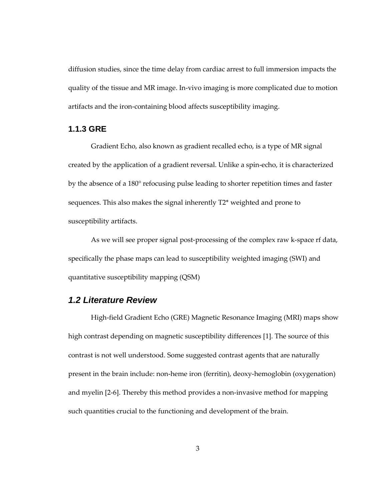diffusion studies, since the time delay from cardiac arrest to full immersion impacts the quality of the tissue and MR image. In-vivo imaging is more complicated due to motion artifacts and the iron-containing blood affects susceptibility imaging.

#### <span id="page-11-0"></span>**1.1.3 GRE**

Gradient Echo, also known as gradient recalled echo, is a type of MR signal created by the application of a gradient reversal. Unlike a spin-echo, it is characterized by the absence of a 180° refocusing pulse leading to shorter repetition times and faster sequences. This also makes the signal inherently T2\* weighted and prone to susceptibility artifacts.

As we will see proper signal post-processing of the complex raw k-space rf data, specifically the phase maps can lead to susceptibility weighted imaging (SWI) and quantitative susceptibility mapping (QSM)

#### <span id="page-11-1"></span>*1.2 Literature Review*

High-field Gradient Echo (GRE) Magnetic Resonance Imaging (MRI) maps show high contrast depending on magnetic susceptibility differences [1]. The source of this contrast is not well understood. Some suggested contrast agents that are naturally present in the brain include: non-heme iron (ferritin), deoxy-hemoglobin (oxygenation) and myelin [2-6]. Thereby this method provides a non-invasive method for mapping such quantities crucial to the functioning and development of the brain.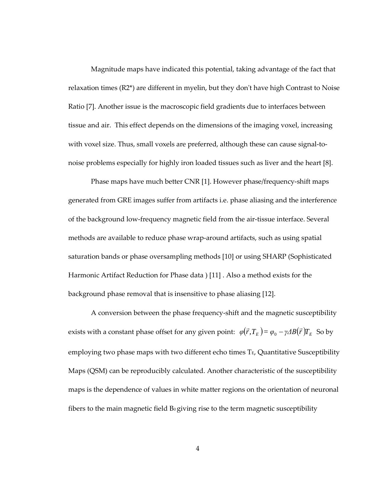Magnitude maps have indicated this potential, taking advantage of the fact that relaxation times (R2\*) are different in myelin, but they don't have high Contrast to Noise Ratio [7]. Another issue is the macroscopic field gradients due to interfaces between tissue and air. This effect depends on the dimensions of the imaging voxel, increasing with voxel size. Thus, small voxels are preferred, although these can cause signal-tonoise problems especially for highly iron loaded tissues such as liver and the heart [8].

Phase maps have much better CNR [1]. However phase/frequency-shift maps generated from GRE images suffer from artifacts i.e. phase aliasing and the interference of the background low-frequency magnetic field from the air-tissue interface. Several methods are available to reduce phase wrap-around artifacts, such as using spatial saturation bands or phase oversampling methods [10] or using SHARP (Sophisticated Harmonic Artifact Reduction for Phase data ) [11] . Also a method exists for the background phase removal that is insensitive to phase aliasing [12].

A conversion between the phase frequency-shift and the magnetic susceptibility exists with a constant phase offset for any given point:  $\varphi(\vec{r}, T_E) = \varphi_0 - \gamma \Delta B(\vec{r}) T_E$  So by employing two phase maps with two different echo times  $T_E$ , Quantitative Susceptibility Maps (QSM) can be reproducibly calculated. Another characteristic of the susceptibility maps is the dependence of values in white matter regions on the orientation of neuronal fibers to the main magnetic field  $B_0$  giving rise to the term magnetic susceptibility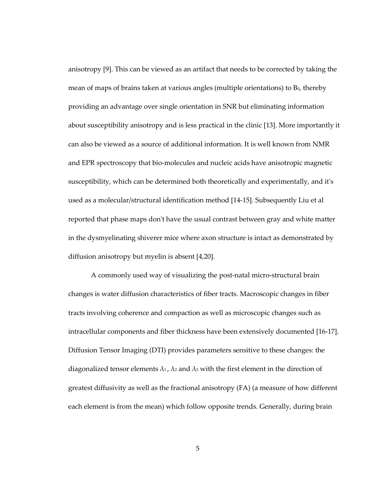anisotropy [9]. This can be viewed as an artifact that needs to be corrected by taking the mean of maps of brains taken at various angles (multiple orientations) to  $B_0$ , thereby providing an advantage over single orientation in SNR but eliminating information about susceptibility anisotropy and is less practical in the clinic [13]. More importantly it can also be viewed as a source of additional information. It is well known from NMR and EPR spectroscopy that bio-molecules and nucleic acids have anisotropic magnetic susceptibility, which can be determined both theoretically and experimentally, and it's used as a molecular/structural identification method [14-15]. Subsequently Liu et al reported that phase maps don't have the usual contrast between gray and white matter in the dysmyelinating shiverer mice where axon structure is intact as demonstrated by diffusion anisotropy but myelin is absent [4,20].

A commonly used way of visualizing the post-natal micro-structural brain changes is water diffusion characteristics of fiber tracts. Macroscopic changes in fiber tracts involving coherence and compaction as well as microscopic changes such as intracellular components and fiber thickness have been extensively documented [16-17]. Diffusion Tensor Imaging (DTI) provides parameters sensitive to these changes: the diagonalized tensor elements  $\lambda_1$ ,  $\lambda_2$  and  $\lambda_3$  with the first element in the direction of greatest diffusivity as well as the fractional anisotropy (FA) (a measure of how different each element is from the mean) which follow opposite trends. Generally, during brain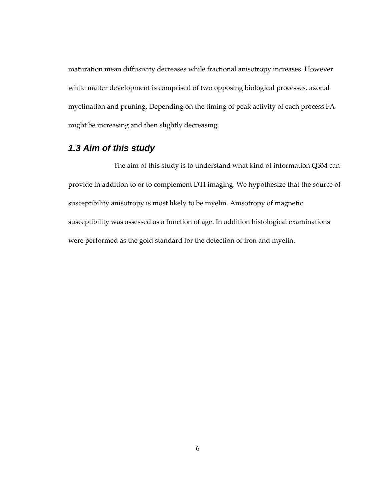maturation mean diffusivity decreases while fractional anisotropy increases. However white matter development is comprised of two opposing biological processes, axonal myelination and pruning. Depending on the timing of peak activity of each process FA might be increasing and then slightly decreasing.

### <span id="page-14-0"></span>*1.3 Aim of this study*

The aim of this study is to understand what kind of information QSM can provide in addition to or to complement DTI imaging. We hypothesize that the source of susceptibility anisotropy is most likely to be myelin. Anisotropy of magnetic susceptibility was assessed as a function of age. In addition histological examinations were performed as the gold standard for the detection of iron and myelin.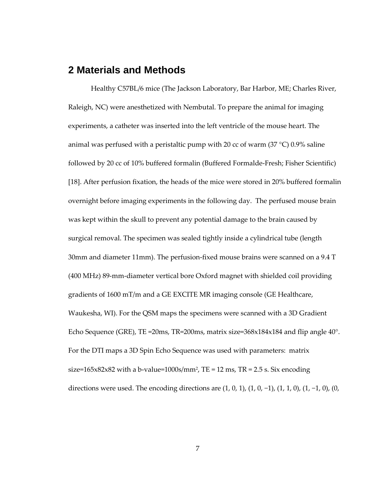### <span id="page-15-0"></span>**2 Materials and Methods**

Healthy C57BL/6 mice (The Jackson Laboratory, Bar Harbor, ME; Charles River, Raleigh, NC) were anesthetized with Nembutal. To prepare the animal for imaging experiments, a catheter was inserted into the left ventricle of the mouse heart. The animal was perfused with a peristaltic pump with 20 cc of warm  $(37 \degree C)$  0.9% saline followed by 20 cc of 10% buffered formalin (Buffered Formalde-Fresh; Fisher Scientific) [18]. After perfusion fixation, the heads of the mice were stored in 20% buffered formalin overnight before imaging experiments in the following day. The perfused mouse brain was kept within the skull to prevent any potential damage to the brain caused by surgical removal. The specimen was sealed tightly inside a cylindrical tube (length 30mm and diameter 11mm). The perfusion-fixed mouse brains were scanned on a 9.4 T (400 MHz) 89-mm-diameter vertical bore Oxford magnet with shielded coil providing gradients of 1600 mT/m and a GE EXCITE MR imaging console (GE Healthcare, Waukesha, WI). For the QSM maps the specimens were scanned with a 3D Gradient Echo Sequence (GRE), TE =20ms, TR=200ms, matrix size=368x184x184 and flip angle 40°. For the DTI maps a 3D Spin Echo Sequence was used with parameters: matrix size=165x82x82 with a b-value=1000s/mm<sup>2</sup>, TE = 12 ms, TR = 2.5 s. Six encoding directions were used. The encoding directions are  $(1, 0, 1)$ ,  $(1, 0, -1)$ ,  $(1, 1, 0)$ ,  $(1, -1, 0)$ ,  $(0, -1)$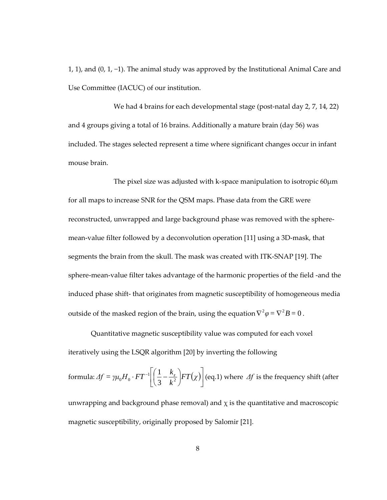1, 1), and (0, 1, −1). The animal study was approved by the Institutional Animal Care and Use Committee (IACUC) of our institution.

We had 4 brains for each developmental stage (post-natal day 2, 7, 14, 22) and 4 groups giving a total of 16 brains. Additionally a mature brain (day 56) was included. The stages selected represent a time where significant changes occur in infant mouse brain.

The pixel size was adjusted with k-space manipulation to isotropic 60μm for all maps to increase SNR for the QSM maps. Phase data from the GRE were reconstructed, unwrapped and large background phase was removed with the spheremean-value filter followed by a deconvolution operation [11] using a 3D-mask, that segments the brain from the skull. The mask was created with ITK-SNAP [19]. The sphere-mean-value filter takes advantage of the harmonic properties of the field -and the induced phase shift- that originates from magnetic susceptibility of homogeneous media outside of the masked region of the brain, using the equation  $\nabla^2 \varphi = \nabla^2 B = 0$ .

Quantitative magnetic susceptibility value was computed for each voxel iteratively using the LSQR algorithm [20] by inverting the following

formula:  $\varDelta f = \gamma \mu_0 H_0 \cdot FT^{-1} \left[ \left( \frac{1}{3} - \frac{k_z}{k^2} \right) FT(\chi) \right]$  $\left(\frac{1}{2} - \frac{k_z}{l^2}\right)$ J  $\left(\frac{1}{2} - \frac{k_z}{l^2}\right)$  $\Delta f = \gamma \mu_0 H_0 \cdot FT^{-1} \left[ \left( \frac{1}{3} - \frac{k_z}{k^2} \right) FT \left( \chi \right) \right]$ 1  $0^{11}0^{-11}$   $3$  $\frac{1}{2} - \frac{k_z}{k^2}$   $\left| FT(\chi) \right|$  (eq.1) where  $\Delta f$  is the frequency shift (after

unwrapping and background phase removal) and  $\chi$  is the quantitative and macroscopic magnetic susceptibility, originally proposed by Salomir [21].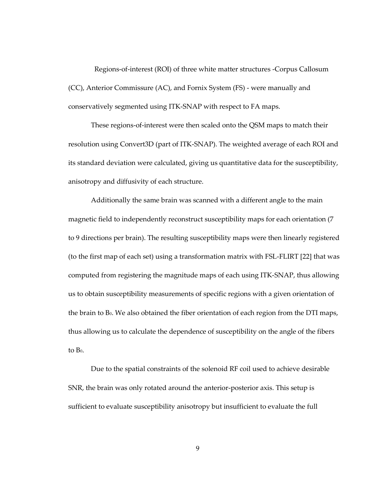Regions-of-interest (ROI) of three white matter structures -Corpus Callosum (CC), Anterior Commissure (AC), and Fornix System (FS) - were manually and conservatively segmented using ITK-SNAP with respect to FA maps.

These regions-of-interest were then scaled onto the QSM maps to match their resolution using Convert3D (part of ITK-SNAP). The weighted average of each ROI and its standard deviation were calculated, giving us quantitative data for the susceptibility, anisotropy and diffusivity of each structure.

Additionally the same brain was scanned with a different angle to the main magnetic field to independently reconstruct susceptibility maps for each orientation (7 to 9 directions per brain). The resulting susceptibility maps were then linearly registered (to the first map of each set) using a transformation matrix with FSL-FLIRT [22] that was computed from registering the magnitude maps of each using ITK-SNAP, thus allowing us to obtain susceptibility measurements of specific regions with a given orientation of the brain to B<sub>0</sub>. We also obtained the fiber orientation of each region from the DTI maps, thus allowing us to calculate the dependence of susceptibility on the angle of the fibers to  $Bo<sub>1</sub>$ .

Due to the spatial constraints of the solenoid RF coil used to achieve desirable SNR, the brain was only rotated around the anterior-posterior axis. This setup is sufficient to evaluate susceptibility anisotropy but insufficient to evaluate the full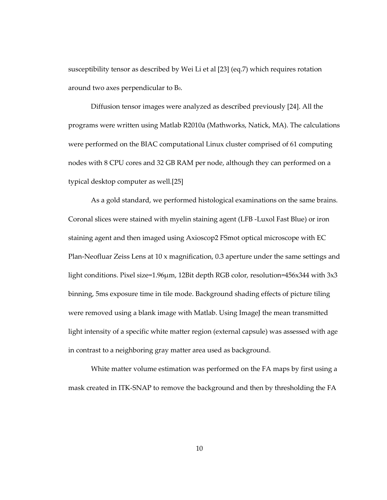susceptibility tensor as described by Wei Li et al [23] (eq.7) which requires rotation around two axes perpendicular to  $B_0$ .

Diffusion tensor images were analyzed as described previously [24]. All the programs were written using Matlab R2010a (Mathworks, Natick, MA). The calculations were performed on the BIAC computational Linux cluster comprised of 61 computing nodes with 8 CPU cores and 32 GB RAM per node, although they can performed on a typical desktop computer as well.[25]

As a gold standard, we performed histological examinations on the same brains. Coronal slices were stained with myelin staining agent (LFB -Luxol Fast Blue) or iron staining agent and then imaged using Axioscop2 FSmot optical microscope with EC Plan-Neofluar Zeiss Lens at 10 x magnification, 0.3 aperture under the same settings and light conditions. Pixel size=1.96μm, 12Bit depth RGB color, resolution=456x344 with 3x3 binning, 5ms exposure time in tile mode. Background shading effects of picture tiling were removed using a blank image with Matlab. Using ImageJ the mean transmitted light intensity of a specific white matter region (external capsule) was assessed with age in contrast to a neighboring gray matter area used as background.

White matter volume estimation was performed on the FA maps by first using a mask created in ITK-SNAP to remove the background and then by thresholding the FA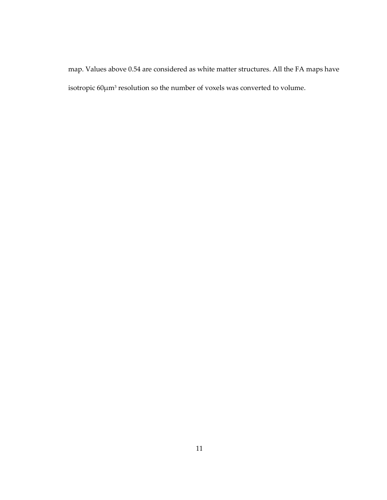map. Values above 0.54 are considered as white matter structures. All the FA maps have isotropic 60μm3 resolution so the number of voxels was converted to volume.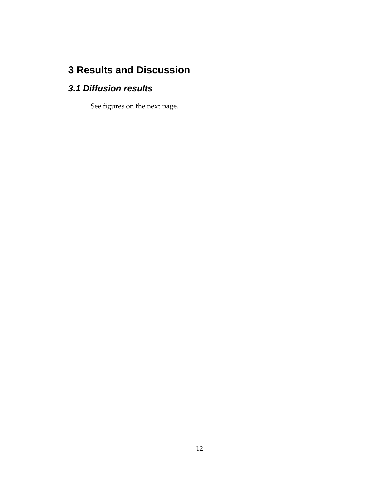## <span id="page-20-0"></span>**3 Results and Discussion**

## <span id="page-20-1"></span>*3.1 Diffusion results*

See figures on the next page.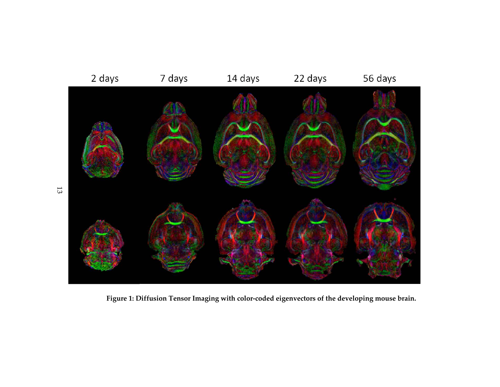

<span id="page-21-0"></span>**Figure 1: Diffusion Tensor Imaging with color-coded eigenvectors of the developing mouse brain.**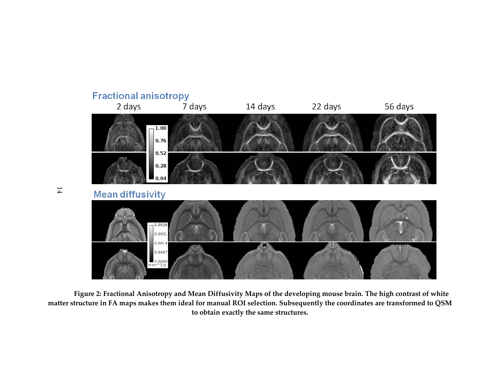

<span id="page-22-0"></span>**Figure 2: Fractional Anisotropy and Mean Diffusivity Maps of the developing mouse brain. The high contrast of white matter structure in FA maps makes them ideal for manual ROI selection. Subsequently the coordinates are transformed to QSM to obtain exactly the same structures.**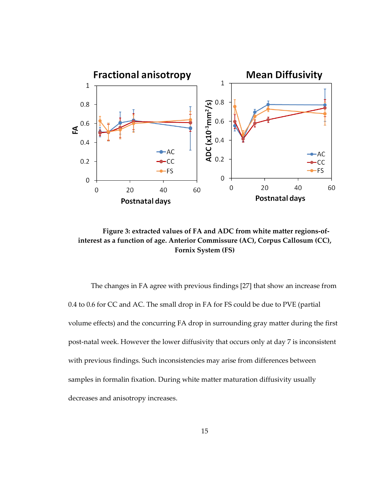

<span id="page-23-0"></span>**Figure 3: extracted values of FA and ADC from white matter regions-ofinterest as a function of age. Anterior Commissure (AC), Corpus Callosum (CC), Fornix System (FS)**

The changes in FA agree with previous findings [27] that show an increase from 0.4 to 0.6 for CC and AC. The small drop in FA for FS could be due to PVE (partial volume effects) and the concurring FA drop in surrounding gray matter during the first post-natal week. However the lower diffusivity that occurs only at day 7 is inconsistent with previous findings. Such inconsistencies may arise from differences between samples in formalin fixation. During white matter maturation diffusivity usually decreases and anisotropy increases.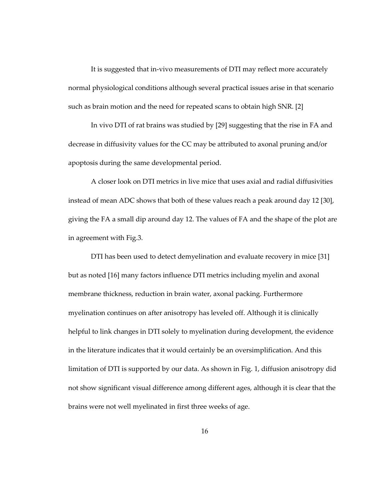It is suggested that in-vivo measurements of DTI may reflect more accurately normal physiological conditions although several practical issues arise in that scenario such as brain motion and the need for repeated scans to obtain high SNR. [2]

In vivo DTI of rat brains was studied by [29] suggesting that the rise in FA and decrease in diffusivity values for the CC may be attributed to axonal pruning and/or apoptosis during the same developmental period.

A closer look on DTI metrics in live mice that uses axial and radial diffusivities instead of mean ADC shows that both of these values reach a peak around day 12 [30], giving the FA a small dip around day 12. The values of FA and the shape of the plot are in agreement with Fig.3.

DTI has been used to detect demyelination and evaluate recovery in mice [31] but as noted [16] many factors influence DTI metrics including myelin and axonal membrane thickness, reduction in brain water, axonal packing. Furthermore myelination continues on after anisotropy has leveled off. Although it is clinically helpful to link changes in DTI solely to myelination during development, the evidence in the literature indicates that it would certainly be an oversimplification. And this limitation of DTI is supported by our data. As shown in Fig. 1, diffusion anisotropy did not show significant visual difference among different ages, although it is clear that the brains were not well myelinated in first three weeks of age.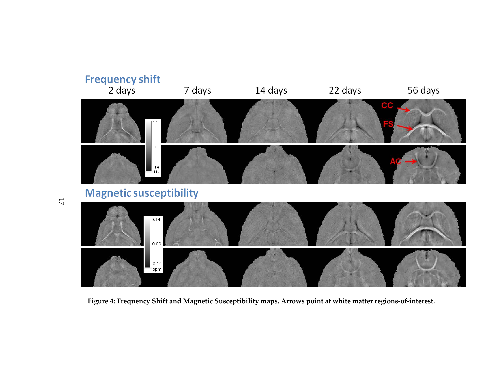

<span id="page-25-0"></span>**Figure 4: Frequency Shift and Magnetic Susceptibility maps. Arrows point at white matter regions-of-interest.**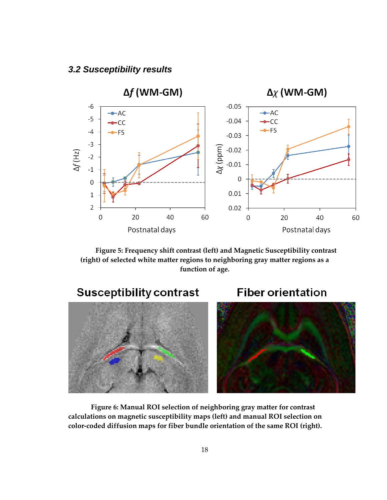<span id="page-26-0"></span>

<span id="page-26-1"></span>**Figure 5: Frequency shift contrast (left) and Magnetic Susceptibility contrast (right) of selected white matter regions to neighboring gray matter regions as a function of age.**



<span id="page-26-2"></span>**Figure 6: Manual ROI selection of neighboring gray matter for contrast calculations on magnetic susceptibility maps (left) and manual ROI selection on color-coded diffusion maps for fiber bundle orientation of the same ROI (right).**

#### 18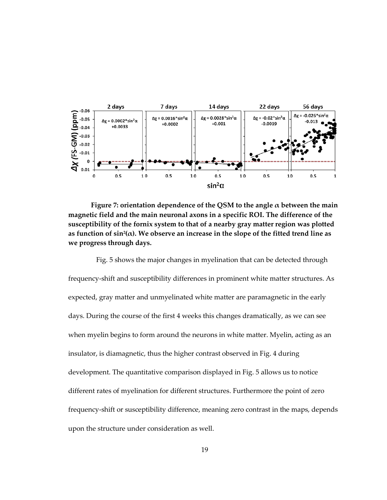

<span id="page-27-0"></span>**Figure 7: orientation dependence of the QSM to the angle α between the main magnetic field and the main neuronal axons in a specific ROI. The difference of the susceptibility of the fornix system to that of a nearby gray matter region was plotted**  as function of  $sin^2(\alpha)$ . We observe an increase in the slope of the fitted trend line as **we progress through days.**

 Fig. 5 shows the major changes in myelination that can be detected through frequency-shift and susceptibility differences in prominent white matter structures. As expected, gray matter and unmyelinated white matter are paramagnetic in the early days. During the course of the first 4 weeks this changes dramatically, as we can see when myelin begins to form around the neurons in white matter. Myelin, acting as an insulator, is diamagnetic, thus the higher contrast observed in Fig. 4 during development. The quantitative comparison displayed in Fig. 5 allows us to notice different rates of myelination for different structures. Furthermore the point of zero frequency-shift or susceptibility difference, meaning zero contrast in the maps, depends upon the structure under consideration as well.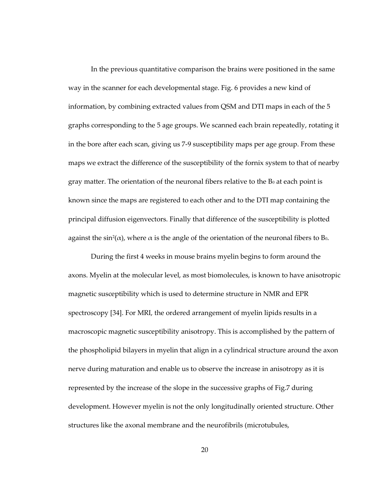In the previous quantitative comparison the brains were positioned in the same way in the scanner for each developmental stage. Fig. 6 provides a new kind of information, by combining extracted values from QSM and DTI maps in each of the 5 graphs corresponding to the 5 age groups. We scanned each brain repeatedly, rotating it in the bore after each scan, giving us 7-9 susceptibility maps per age group. From these maps we extract the difference of the susceptibility of the fornix system to that of nearby gray matter. The orientation of the neuronal fibers relative to the  $B_0$  at each point is known since the maps are registered to each other and to the DTI map containing the principal diffusion eigenvectors. Finally that difference of the susceptibility is plotted against the sin<sup>2</sup>( $\alpha$ ), where  $\alpha$  is the angle of the orientation of the neuronal fibers to B<sub>0</sub>.

During the first 4 weeks in mouse brains myelin begins to form around the axons. Myelin at the molecular level, as most biomolecules, is known to have anisotropic magnetic susceptibility which is used to determine structure in NMR and EPR spectroscopy [34]. For MRI, the ordered arrangement of myelin lipids results in a macroscopic magnetic susceptibility anisotropy. This is accomplished by the pattern of the phospholipid bilayers in myelin that align in a cylindrical structure around the axon nerve during maturation and enable us to observe the increase in anisotropy as it is represented by the increase of the slope in the successive graphs of Fig.7 during development. However myelin is not the only longitudinally oriented structure. Other structures like the axonal membrane and the neurofibrils (microtubules,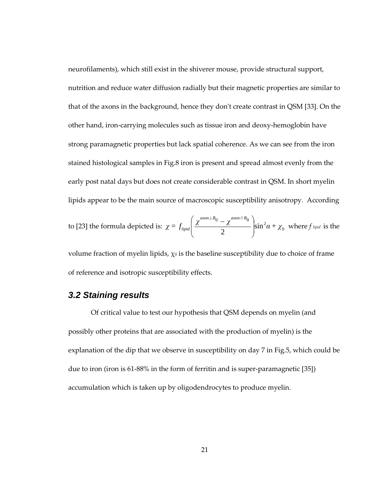neurofilaments), which still exist in the shiverer mouse, provide structural support, nutrition and reduce water diffusion radially but their magnetic properties are similar to that of the axons in the background, hence they don't create contrast in QSM [33]. On the other hand, iron-carrying molecules such as tissue iron and deoxy-hemoglobin have strong paramagnetic properties but lack spatial coherence. As we can see from the iron stained histological samples in Fig.8 iron is present and spread almost evenly from the early post natal days but does not create considerable contrast in QSM. In short myelin lipids appear to be the main source of macroscopic susceptibility anisotropy. According

to [23] the formula depicted is: 
$$
\chi = f_{lipid} \left( \frac{\chi^{axon \perp B_0} - \chi^{axon \perp B_0}}{2} \right) \sin^2 \alpha + \chi_0
$$
 where  $f_{lipid}$  is the

volume fraction of myelin lipids,  $\chi_0$  is the baseline susceptibility due to choice of frame of reference and isotropic susceptibility effects.

#### <span id="page-29-0"></span>*3.2 Staining results*

Of critical value to test our hypothesis that QSM depends on myelin (and possibly other proteins that are associated with the production of myelin) is the explanation of the dip that we observe in susceptibility on day 7 in Fig.5, which could be due to iron (iron is 61-88% in the form of ferritin and is super-paramagnetic [35]) accumulation which is taken up by oligodendrocytes to produce myelin.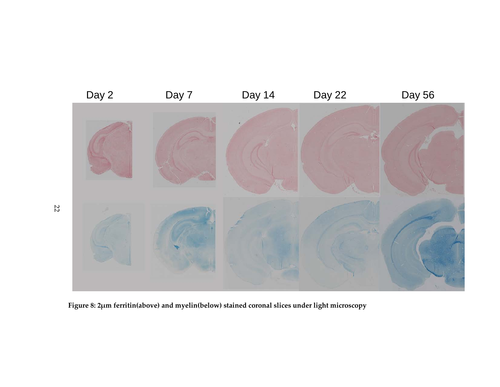

<span id="page-30-0"></span>**Figure 8: 2μm ferritin(above) and myelin(below) stained coronal slices under light microscopy**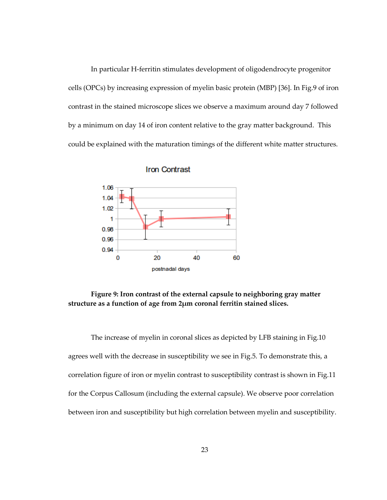In particular H-ferritin stimulates development of oligodendrocyte progenitor cells (OPCs) by increasing expression of myelin basic protein (MBP) [36]. In Fig.9 of iron contrast in the stained microscope slices we observe a maximum around day 7 followed by a minimum on day 14 of iron content relative to the gray matter background. This could be explained with the maturation timings of the different white matter structures.





<span id="page-31-0"></span>**Figure 9: Iron contrast of the external capsule to neighboring gray matter structure as a function of age from 2μm coronal ferritin stained slices.**

The increase of myelin in coronal slices as depicted by LFB staining in Fig.10 agrees well with the decrease in susceptibility we see in Fig.5. To demonstrate this, a correlation figure of iron or myelin contrast to susceptibility contrast is shown in Fig.11 for the Corpus Callosum (including the external capsule). We observe poor correlation between iron and susceptibility but high correlation between myelin and susceptibility.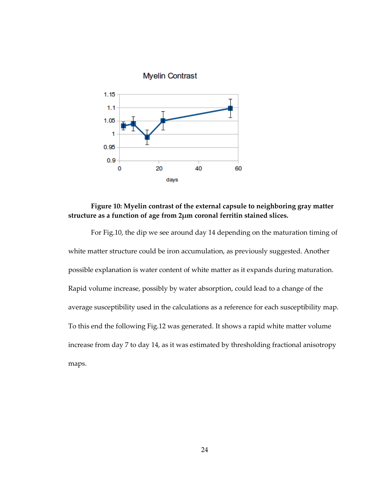

#### <span id="page-32-0"></span>**Figure 10: Myelin contrast of the external capsule to neighboring gray matter structure as a function of age from 2μm coronal ferritin stained slices.**

For Fig.10, the dip we see around day 14 depending on the maturation timing of white matter structure could be iron accumulation, as previously suggested. Another possible explanation is water content of white matter as it expands during maturation. Rapid volume increase, possibly by water absorption, could lead to a change of the average susceptibility used in the calculations as a reference for each susceptibility map. To this end the following Fig.12 was generated. It shows a rapid white matter volume increase from day 7 to day 14, as it was estimated by thresholding fractional anisotropy maps.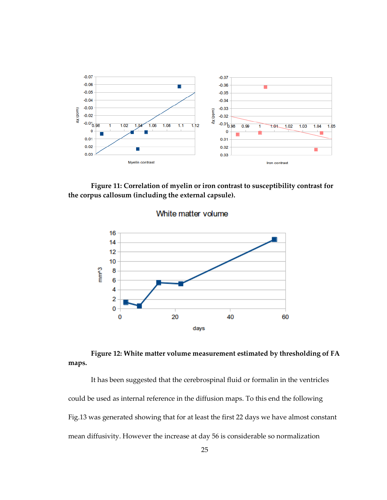

<span id="page-33-0"></span>**Figure 11: Correlation of myelin or iron contrast to susceptibility contrast for the corpus callosum (including the external capsule).** 



White matter volume

#### <span id="page-33-1"></span>**Figure 12: White matter volume measurement estimated by thresholding of FA maps.**

It has been suggested that the cerebrospinal fluid or formalin in the ventricles could be used as internal reference in the diffusion maps. To this end the following Fig.13 was generated showing that for at least the first 22 days we have almost constant mean diffusivity. However the increase at day 56 is considerable so normalization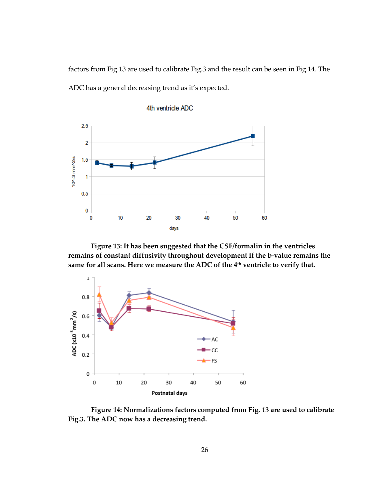factors from Fig.13 are used to calibrate Fig.3 and the result can be seen in Fig.14. The ADC has a general decreasing trend as it's expected.



4th ventricle ADC

<span id="page-34-0"></span>**Figure 13: It has been suggested that the CSF/formalin in the ventricles remains of constant diffusivity throughout development if the b-value remains the same for all scans. Here we measure the ADC of the 4th ventricle to verify that.**



<span id="page-34-1"></span>**Figure 14: Normalizations factors computed from Fig. 13 are used to calibrate Fig.3. The ADC now has a decreasing trend.**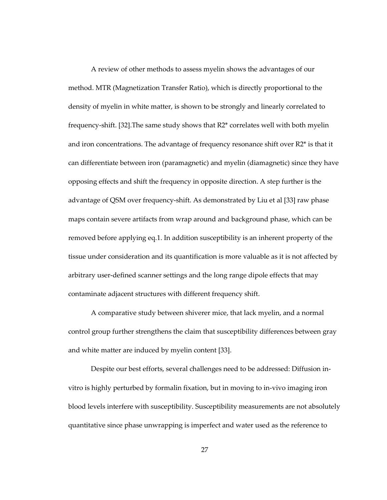A review of other methods to assess myelin shows the advantages of our method. MTR (Magnetization Transfer Ratio), which is directly proportional to the density of myelin in white matter, is shown to be strongly and linearly correlated to frequency-shift. [32].The same study shows that R2\* correlates well with both myelin and iron concentrations. The advantage of frequency resonance shift over  $R2^*$  is that it can differentiate between iron (paramagnetic) and myelin (diamagnetic) since they have opposing effects and shift the frequency in opposite direction. A step further is the advantage of QSM over frequency-shift. As demonstrated by Liu et al [33] raw phase maps contain severe artifacts from wrap around and background phase, which can be removed before applying eq.1. In addition susceptibility is an inherent property of the tissue under consideration and its quantification is more valuable as it is not affected by arbitrary user-defined scanner settings and the long range dipole effects that may contaminate adjacent structures with different frequency shift.

A comparative study between shiverer mice, that lack myelin, and a normal control group further strengthens the claim that susceptibility differences between gray and white matter are induced by myelin content [33].

Despite our best efforts, several challenges need to be addressed: Diffusion invitro is highly perturbed by formalin fixation, but in moving to in-vivo imaging iron blood levels interfere with susceptibility. Susceptibility measurements are not absolutely quantitative since phase unwrapping is imperfect and water used as the reference to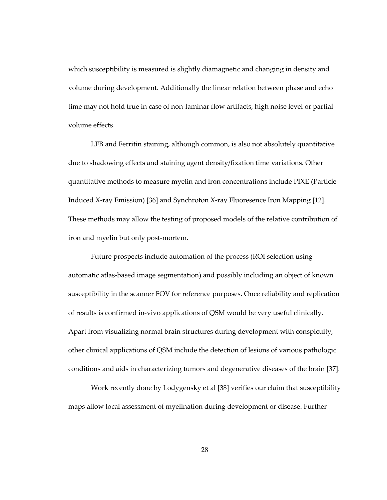which susceptibility is measured is slightly diamagnetic and changing in density and volume during development. Additionally the linear relation between phase and echo time may not hold true in case of non-laminar flow artifacts, high noise level or partial volume effects.

LFB and Ferritin staining, although common, is also not absolutely quantitative due to shadowing effects and staining agent density/fixation time variations. Other quantitative methods to measure myelin and iron concentrations include PIXE (Particle Induced X-ray Emission) [36] and Synchroton X-ray Fluoresence Iron Mapping [12]. These methods may allow the testing of proposed models of the relative contribution of iron and myelin but only post-mortem.

Future prospects include automation of the process (ROI selection using automatic atlas-based image segmentation) and possibly including an object of known susceptibility in the scanner FOV for reference purposes. Once reliability and replication of results is confirmed in-vivo applications of QSM would be very useful clinically. Apart from visualizing normal brain structures during development with conspicuity, other clinical applications of QSM include the detection of lesions of various pathologic conditions and aids in characterizing tumors and degenerative diseases of the brain [37].

Work recently done by Lodygensky et al [38] verifies our claim that susceptibility maps allow local assessment of myelination during development or disease. Further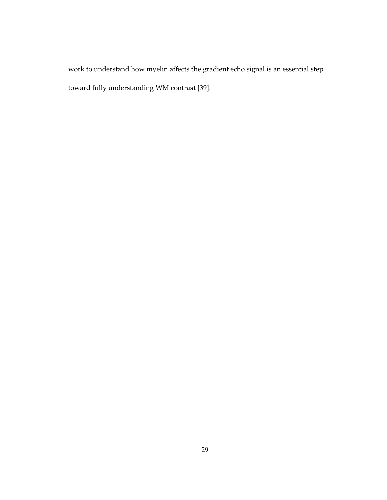work to understand how myelin affects the gradient echo signal is an essential step toward fully understanding WM contrast [39].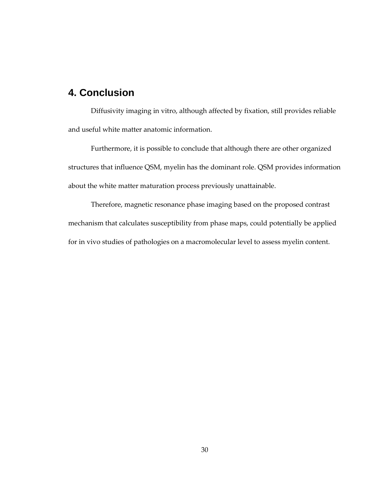## <span id="page-38-0"></span>**4. Conclusion**

Diffusivity imaging in vitro, although affected by fixation, still provides reliable and useful white matter anatomic information.

Furthermore, it is possible to conclude that although there are other organized structures that influence QSM, myelin has the dominant role. QSM provides information about the white matter maturation process previously unattainable.

Therefore, magnetic resonance phase imaging based on the proposed contrast mechanism that calculates susceptibility from phase maps, could potentially be applied for in vivo studies of pathologies on a macromolecular level to assess myelin content.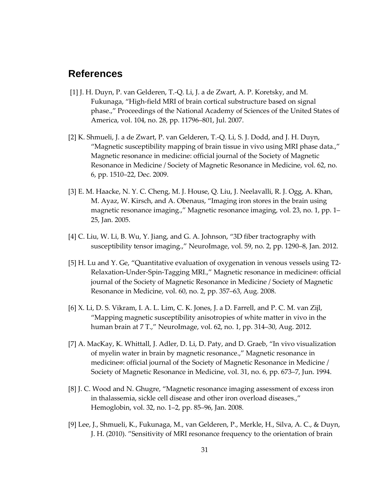## <span id="page-39-0"></span>**References**

- [1] J. H. Duyn, P. van Gelderen, T.-Q. Li, J. a de Zwart, A. P. Koretsky, and M. Fukunaga, "High-field MRI of brain cortical substructure based on signal phase.," Proceedings of the National Academy of Sciences of the United States of America, vol. 104, no. 28, pp. 11796–801, Jul. 2007.
- [2] K. Shmueli, J. a de Zwart, P. van Gelderen, T.-Q. Li, S. J. Dodd, and J. H. Duyn, "Magnetic susceptibility mapping of brain tissue in vivo using MRI phase data.," Magnetic resonance in medicine: official journal of the Society of Magnetic Resonance in Medicine / Society of Magnetic Resonance in Medicine, vol. 62, no. 6, pp. 1510–22, Dec. 2009.
- [3] E. M. Haacke, N. Y. C. Cheng, M. J. House, Q. Liu, J. Neelavalli, R. J. Ogg, A. Khan, M. Ayaz, W. Kirsch, and A. Obenaus, "Imaging iron stores in the brain using magnetic resonance imaging.," Magnetic resonance imaging, vol. 23, no. 1, pp. 1– 25, Jan. 2005.
- [4] C. Liu, W. Li, B. Wu, Y. Jiang, and G. A. Johnson, "3D fiber tractography with susceptibility tensor imaging.," NeuroImage, vol. 59, no. 2, pp. 1290–8, Jan. 2012.
- [5] H. Lu and Y. Ge, "Quantitative evaluation of oxygenation in venous vessels using T2- Relaxation-Under-Spin-Tagging MRI.," Magnetic resonance in medicine : official journal of the Society of Magnetic Resonance in Medicine / Society of Magnetic Resonance in Medicine, vol. 60, no. 2, pp. 357–63, Aug. 2008.
- [6] X. Li, D. S. Vikram, I. A. L. Lim, C. K. Jones, J. a D. Farrell, and P. C. M. van Zijl, "Mapping magnetic susceptibility anisotropies of white matter in vivo in the human brain at 7 T.," NeuroImage, vol. 62, no. 1, pp. 314–30, Aug. 2012.
- [7] A. MacKay, K. Whittall, J. Adler, D. Li, D. Paty, and D. Graeb, "In vivo visualization of myelin water in brain by magnetic resonance.," Magnetic resonance in medicine : official journal of the Society of Magnetic Resonance in Medicine / Society of Magnetic Resonance in Medicine, vol. 31, no. 6, pp. 673–7, Jun. 1994.
- [8] J. C. Wood and N. Ghugre, "Magnetic resonance imaging assessment of excess iron in thalassemia, sickle cell disease and other iron overload diseases.," Hemoglobin, vol. 32, no. 1–2, pp. 85–96, Jan. 2008.
- [9] Lee, J., Shmueli, K., Fukunaga, M., van Gelderen, P., Merkle, H., Silva, A. C., & Duyn, J. H. (2010). "Sensitivity of MRI resonance frequency to the orientation of brain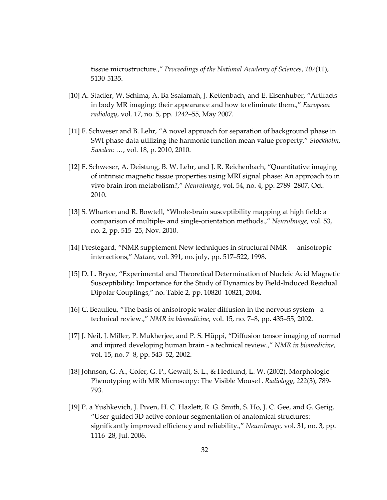tissue microstructure.," *Proceedings of the National Academy of Sciences*, *107*(11), 5130-5135.

- [10] A. Stadler, W. Schima, A. Ba-Ssalamah, J. Kettenbach, and E. Eisenhuber, "Artifacts in body MR imaging: their appearance and how to eliminate them.," *European radiology*, vol. 17, no. 5, pp. 1242–55, May 2007.
- [11] F. Schweser and B. Lehr, "A novel approach for separation of background phase in SWI phase data utilizing the harmonic function mean value property," *Stockholm, Sweden: …*, vol. 18, p. 2010, 2010.
- [12] F. Schweser, A. Deistung, B. W. Lehr, and J. R. Reichenbach, "Quantitative imaging of intrinsic magnetic tissue properties using MRI signal phase: An approach to in vivo brain iron metabolism?," *NeuroImage*, vol. 54, no. 4, pp. 2789–2807, Oct. 2010.
- [13] S. Wharton and R. Bowtell, "Whole-brain susceptibility mapping at high field: a comparison of multiple- and single-orientation methods.," *NeuroImage*, vol. 53, no. 2, pp. 515–25, Nov. 2010.
- [14] Prestegard, "NMR supplement New techniques in structural NMR anisotropic interactions," *Nature*, vol. 391, no. july, pp. 517–522, 1998.
- [15] D. L. Bryce, "Experimental and Theoretical Determination of Nucleic Acid Magnetic Susceptibility: Importance for the Study of Dynamics by Field-Induced Residual Dipolar Couplings," no. Table 2, pp. 10820–10821, 2004.
- [16] C. Beaulieu, "The basis of anisotropic water diffusion in the nervous system a technical review.," *NMR in biomedicine*, vol. 15, no. 7–8, pp. 435–55, 2002.
- [17] J. Neil, J. Miller, P. Mukherjee, and P. S. Hüppi, "Diffusion tensor imaging of normal and injured developing human brain - a technical review.," *NMR in biomedicine*, vol. 15, no. 7–8, pp. 543–52, 2002.
- [18] Johnson, G. A., Cofer, G. P., Gewalt, S. L., & Hedlund, L. W. (2002). Morphologic Phenotyping with MR Microscopy: The Visible Mouse1. *Radiology*, *222*(3), 789- 793.
- [19] P. a Yushkevich, J. Piven, H. C. Hazlett, R. G. Smith, S. Ho, J. C. Gee, and G. Gerig, "User-guided 3D active contour segmentation of anatomical structures: significantly improved efficiency and reliability.," *NeuroImage*, vol. 31, no. 3, pp. 1116–28, Jul. 2006.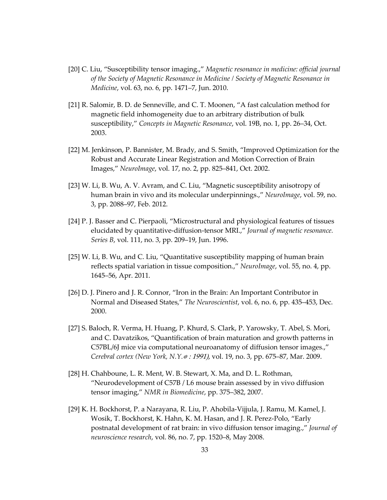- [20] C. Liu, "Susceptibility tensor imaging.," *Magnetic resonance in medicine: official journal of the Society of Magnetic Resonance in Medicine / Society of Magnetic Resonance in Medicine*, vol. 63, no. 6, pp. 1471–7, Jun. 2010.
- [21] R. Salomir, B. D. de Senneville, and C. T. Moonen, "A fast calculation method for magnetic field inhomogeneity due to an arbitrary distribution of bulk susceptibility," *Concepts in Magnetic Resonance*, vol. 19B, no. 1, pp. 26–34, Oct. 2003.
- [22] M. Jenkinson, P. Bannister, M. Brady, and S. Smith, "Improved Optimization for the Robust and Accurate Linear Registration and Motion Correction of Brain Images," *NeuroImage*, vol. 17, no. 2, pp. 825–841, Oct. 2002.
- [23] W. Li, B. Wu, A. V. Avram, and C. Liu, "Magnetic susceptibility anisotropy of human brain in vivo and its molecular underpinnings.," *NeuroImage*, vol. 59, no. 3, pp. 2088–97, Feb. 2012.
- [24] P. J. Basser and C. Pierpaoli, "Microstructural and physiological features of tissues elucidated by quantitative-diffusion-tensor MRI.," *Journal of magnetic resonance. Series B*, vol. 111, no. 3, pp. 209–19, Jun. 1996.
- [25] W. Li, B. Wu, and C. Liu, "Quantitative susceptibility mapping of human brain reflects spatial variation in tissue composition.," *NeuroImage*, vol. 55, no. 4, pp. 1645–56, Apr. 2011.
- [26] D. J. Pinero and J. R. Connor, "Iron in the Brain: An Important Contributor in Normal and Diseased States," *The Neuroscientist*, vol. 6, no. 6, pp. 435–453, Dec. 2000.
- [27] S. Baloch, R. Verma, H. Huang, P. Khurd, S. Clark, P. Yarowsky, T. Abel, S. Mori, and C. Davatzikos, "Quantification of brain maturation and growth patterns in C57BL/6J mice via computational neuroanatomy of diffusion tensor images.," *Cerebral cortex (New York, N.Y.*  : 1991), vol. 19, no. 3, pp. 675–87, Mar. 2009.
- [28] H. Chahboune, L. R. Ment, W. B. Stewart, X. Ma, and D. L. Rothman, "Neurodevelopment of C57B / L6 mouse brain assessed by in vivo diffusion tensor imaging," *NMR in Biomedicine*, pp. 375–382, 2007.
- [29] K. H. Bockhorst, P. a Narayana, R. Liu, P. Ahobila-Vijjula, J. Ramu, M. Kamel, J. Wosik, T. Bockhorst, K. Hahn, K. M. Hasan, and J. R. Perez-Polo, "Early postnatal development of rat brain: in vivo diffusion tensor imaging.," *Journal of neuroscience research*, vol. 86, no. 7, pp. 1520–8, May 2008.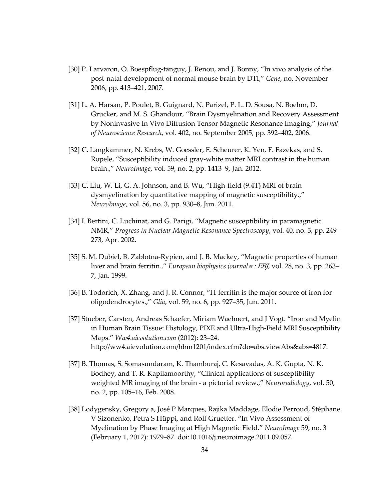- [30] P. Larvaron, O. Boespflug-tanguy, J. Renou, and J. Bonny, "In vivo analysis of the post-natal development of normal mouse brain by DTI," *Gene*, no. November 2006, pp. 413–421, 2007.
- [31] L. A. Harsan, P. Poulet, B. Guignard, N. Parizel, P. L. D. Sousa, N. Boehm, D. Grucker, and M. S. Ghandour, "Brain Dysmyelination and Recovery Assessment by Noninvasive In Vivo Diffusion Tensor Magnetic Resonance Imaging," *Journal of Neuroscience Research*, vol. 402, no. September 2005, pp. 392–402, 2006.
- [32] C. Langkammer, N. Krebs, W. Goessler, E. Scheurer, K. Yen, F. Fazekas, and S. Ropele, "Susceptibility induced gray-white matter MRI contrast in the human brain.," *NeuroImage*, vol. 59, no. 2, pp. 1413–9, Jan. 2012.
- [33] C. Liu, W. Li, G. A. Johnson, and B. Wu, "High-field (9.4T) MRI of brain dysmyelination by quantitative mapping of magnetic susceptibility.," *NeuroImage*, vol. 56, no. 3, pp. 930–8, Jun. 2011.
- [34] I. Bertini, C. Luchinat, and G. Parigi, "Magnetic susceptibility in paramagnetic NMR," *Progress in Nuclear Magnetic Resonance Spectroscopy*, vol. 40, no. 3, pp. 249– 273, Apr. 2002.
- [35] S. M. Dubiel, B. Zablotna-Rypien, and J. B. Mackey, "Magnetic properties of human liver and brain ferritin.," *European biophysics journal*  : EBJ, vol. 28, no. 3, pp. 263– 7, Jan. 1999.
- [36] B. Todorich, X. Zhang, and J. R. Connor, "H-ferritin is the major source of iron for oligodendrocytes.," *Glia*, vol. 59, no. 6, pp. 927–35, Jun. 2011.
- [37] Stueber, Carsten, Andreas Schaefer, Miriam Waehnert, and J Vogt. "Iron and Myelin in Human Brain Tissue: Histology, PIXE and Ultra-High-Field MRI Susceptibility Maps." *Ww4.aievolution.com* (2012): 23–24. http://ww4.aievolution.com/hbm1201/index.cfm?do=abs.viewAbs&abs=4817.
- [37] B. Thomas, S. Somasundaram, K. Thamburaj, C. Kesavadas, A. K. Gupta, N. K. Bodhey, and T. R. Kapilamoorthy, "Clinical applications of susceptibility weighted MR imaging of the brain - a pictorial review.," *Neuroradiology*, vol. 50, no. 2, pp. 105–16, Feb. 2008.
- [38] Lodygensky, Gregory a, José P Marques, Rajika Maddage, Elodie Perroud, Stéphane V Sizonenko, Petra S Hüppi, and Rolf Gruetter. "In Vivo Assessment of Myelination by Phase Imaging at High Magnetic Field." *NeuroImage* 59, no. 3 (February 1, 2012): 1979–87. doi:10.1016/j.neuroimage.2011.09.057.